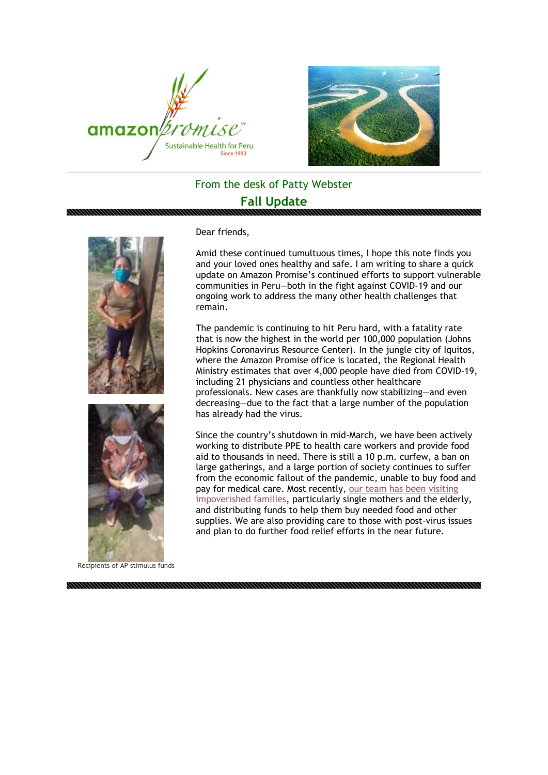



## From the desk of Patty Webster

## **Fall Update**



Dear friends,

Amid these continued tumultuous times, I hope this note finds you and your loved ones healthy and safe. I am writing to share a quick update on Amazon Promise's continued efforts to support vulnerable communities in Peru—both in the fight against COVID-19 and our ongoing work to address the many other health challenges that remain.

The pandemic is continuing to hit Peru hard, with a fatality rate that is now the highest in the world per 100,000 population (Johns Hopkins Coronavirus Resource Center). In the jungle city of lauitos, where the Amazon Promise office is located, the Regional Health Ministry estimates that over 4,000 people have died from COVID-19, including 21 physicians and countless other healthcare professionals. New cases are thankfully now stabilizing—and even decreasing—due to the fact that a large number of the population has already had the virus.

Since the country's shutdown in mid-March, we have been actively working to distribute PPE to health care workers and provide food aid to thousands in need. There is still a 10 p.m. curfew, a ban on large gatherings, and a large portion of society continues to suffer from the economic fallout of the pandemic, unable to buy food and pay for medical care. Most recently, [our team has been visiting](https://cts.vresp.com/c/?AmazonPromise/79addc9565/dc44b0c2c9/31be2bda93)  [impoverished families,](https://cts.vresp.com/c/?AmazonPromise/79addc9565/dc44b0c2c9/31be2bda93) particularly single mothers and the elderly, and distributing funds to help them buy needed food and other supplies. We are also providing care to those with post-virus issues and plan to do further food relief efforts in the near future.

Recipients of AP stimulus funds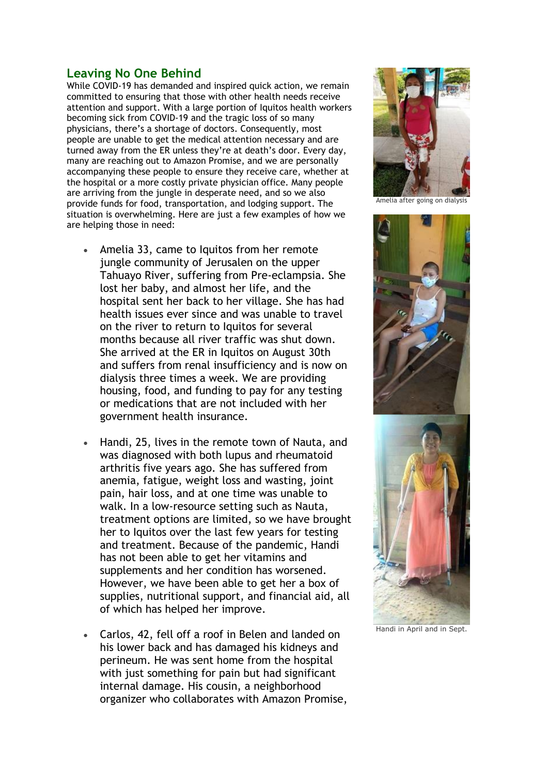## **Leaving No One Behind**

While COVID-19 has demanded and inspired quick action, we remain committed to ensuring that those with other health needs receive attention and support. With a large portion of Iquitos health workers becoming sick from COVID-19 and the tragic loss of so many physicians, there's a shortage of doctors. Consequently, most people are unable to get the medical attention necessary and are turned away from the ER unless they're at death's door. Every day, many are reaching out to Amazon Promise, and we are personally accompanying these people to ensure they receive care, whether at the hospital or a more costly private physician office. Many people are arriving from the jungle in desperate need, and so we also provide funds for food, transportation, and lodging support. The situation is overwhelming. Here are just a few examples of how we are helping those in need:

- Amelia 33, came to Iquitos from her remote jungle community of Jerusalen on the upper Tahuayo River, suffering from Pre-eclampsia. She lost her baby, and almost her life, and the hospital sent her back to her village. She has had health issues ever since and was unable to travel on the river to return to Iquitos for several months because all river traffic was shut down. She arrived at the ER in Iquitos on August 30th and suffers from renal insufficiency and is now on dialysis three times a week. We are providing housing, food, and funding to pay for any testing or medications that are not included with her government health insurance.
- Handi, 25, lives in the remote town of Nauta, and was diagnosed with both lupus and rheumatoid arthritis five years ago. She has suffered from anemia, fatigue, weight loss and wasting, joint pain, hair loss, and at one time was unable to walk. In a low-resource setting such as Nauta, treatment options are limited, so we have brought her to Iquitos over the last few years for testing and treatment. Because of the pandemic, Handi has not been able to get her vitamins and supplements and her condition has worsened. However, we have been able to get her a box of supplies, nutritional support, and financial aid, all of which has helped her improve.
- Carlos, 42, fell off a roof in Belen and landed on his lower back and has damaged his kidneys and perineum. He was sent home from the hospital with just something for pain but had significant internal damage. His cousin, a neighborhood organizer who collaborates with Amazon Promise,



Amelia after going on dialysis



Handi in April and in Sept.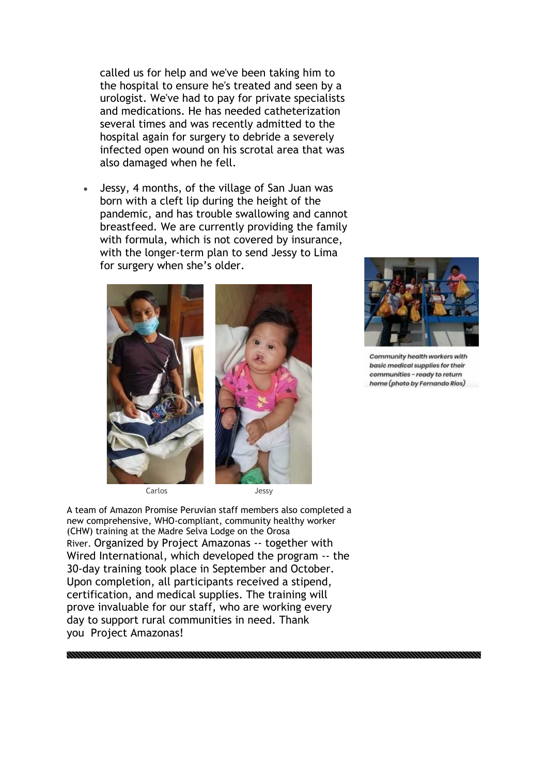called us for help and we've been taking him to the hospital to ensure he's treated and seen by a urologist. We've had to pay for private specialists and medications. He has needed catheterization several times and was recently admitted to the hospital again for surgery to debride a severely infected open wound on his scrotal area that was also damaged when he fell.

• Jessy, 4 months, of the village of San Juan was born with a cleft lip during the height of the pandemic, and has trouble swallowing and cannot breastfeed. We are currently providing the family with formula, which is not covered by insurance, with the longer-term plan to send Jessy to Lima for surgery when she's older.



Carlos Jessy

A team of Amazon Promise Peruvian staff members also completed a new comprehensive, WHO-compliant, community healthy worker (CHW) training at the Madre Selva Lodge on the Orosa River. Organized by Project Amazonas -- together with Wired International, which developed the program -- the 30-day training took place in September and October. Upon completion, all participants received a stipend, certification, and medical supplies. The training will prove invaluable for our staff, who are working every day to support rural communities in need. Thank you Project Amazonas!



Community health workers with basic medical supplies for their communities - ready to return home (photo by Fernando Rios)